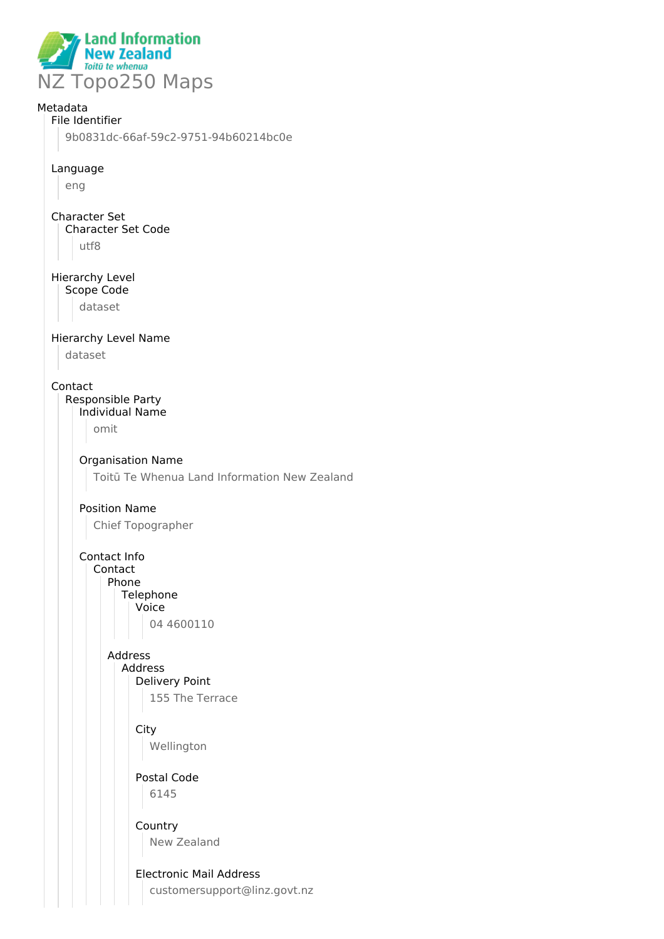

### Metadata

## File Identifier

9b0831dc-66af-59c2-9751-94b60214bc0e

#### Language

eng

#### Character Set Character Set Code utf8

# Hierarchy Level

Scope Code

dataset

### Hierarchy Level Name

dataset

#### Contact

Responsible Party Individual Name

omit

# Organisation Name

Toitū Te Whenua Land Information New Zealand

### Position Name

Chief Topographer

#### Contact Info Contact Phone Telephone Voice 04 4600110

#### Address Address

Delivery Point

155 The Terrace

## **City** Wellington

Postal Code

6145

# Country New Zealand

## Electronic Mail Address

customersupport@linz.govt.nz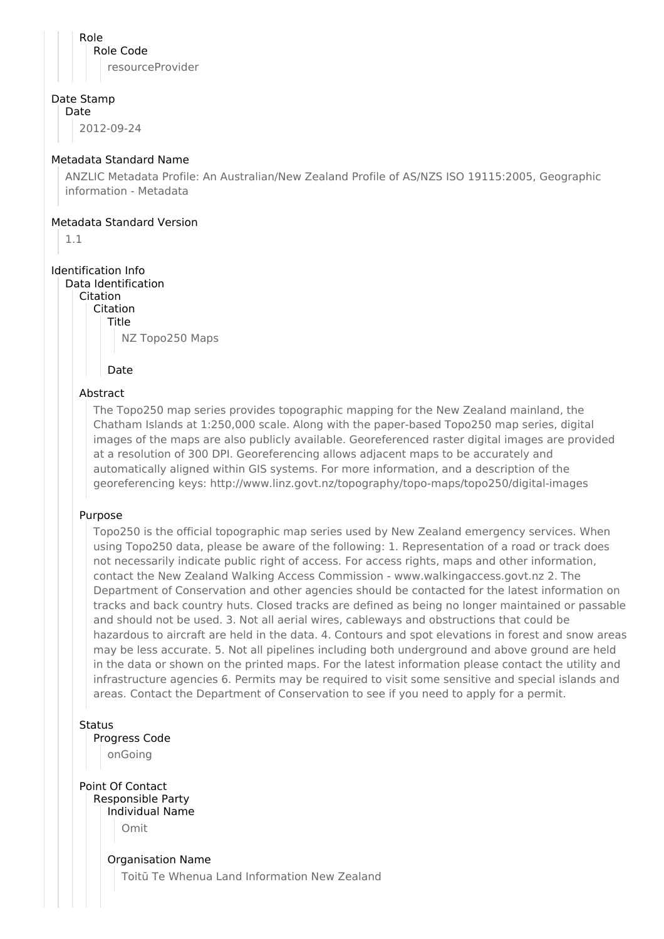Role Role Code resourceProvider

#### Date Stamp

Date

2012-09-24

#### Metadata Standard Name

ANZLIC Metadata Profile: An Australian/New Zealand Profile of AS/NZS ISO 19115:2005, Geographic information - Metadata

#### Metadata Standard Version

1.1

## Identification Info

Data Identification Citation

Citation Title

NZ Topo250 Maps

Date

## Abstract

The Topo250 map series provides topographic mapping for the New Zealand mainland, the Chatham Islands at 1:250,000 scale. Along with the paper-based Topo250 map series, digital images of the maps are also publicly available. Georeferenced raster digital images are provided at a resolution of 300 DPI. Georeferencing allows adjacent maps to be accurately and automatically aligned within GIS systems. For more information, and a description of the georeferencing keys: http://www.linz.govt.nz/topography/topo-maps/topo250/digital-images

#### Purpose

Topo250 is the official topographic map series used by New Zealand emergency services. When using Topo250 data, please be aware of the following: 1. Representation of a road or track does not necessarily indicate public right of access. For access rights, maps and other information, contact the New Zealand Walking Access Commission - www.walkingaccess.govt.nz 2. The Department of Conservation and other agencies should be contacted for the latest information on tracks and back country huts. Closed tracks are defined as being no longer maintained or passable and should not be used. 3. Not all aerial wires, cableways and obstructions that could be hazardous to aircraft are held in the data. 4. Contours and spot elevations in forest and snow areas may be less accurate. 5. Not all pipelines including both underground and above ground are held in the data or shown on the printed maps. For the latest information please contact the utility and infrastructure agencies 6. Permits may be required to visit some sensitive and special islands and areas. Contact the Department of Conservation to see if you need to apply for a permit.

**Status** 

Progress Code

onGoing

Point Of Contact Responsible Party Individual Name Omit

> Organisation Name Toitū Te Whenua Land Information New Zealand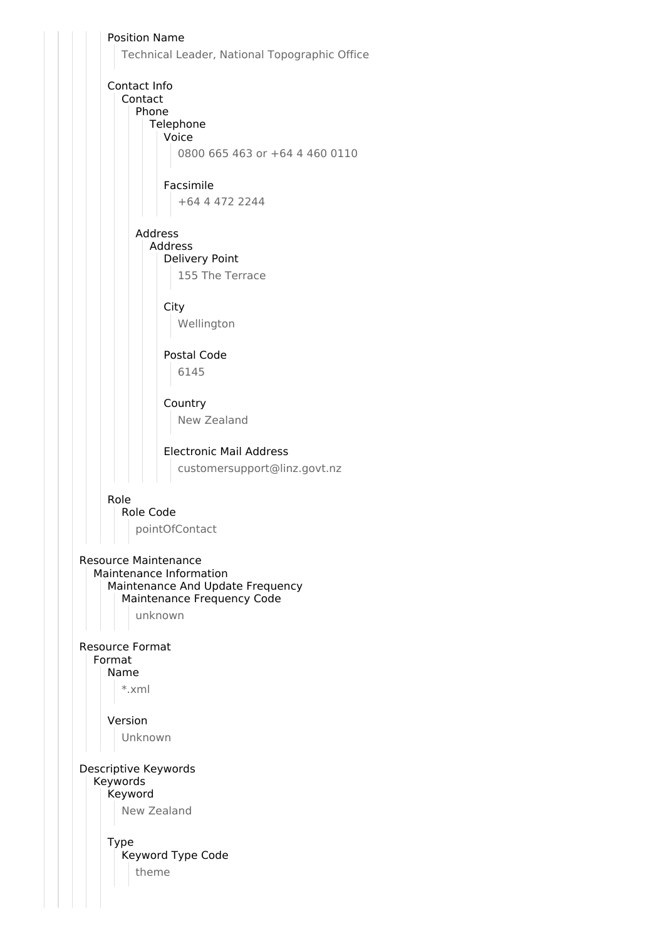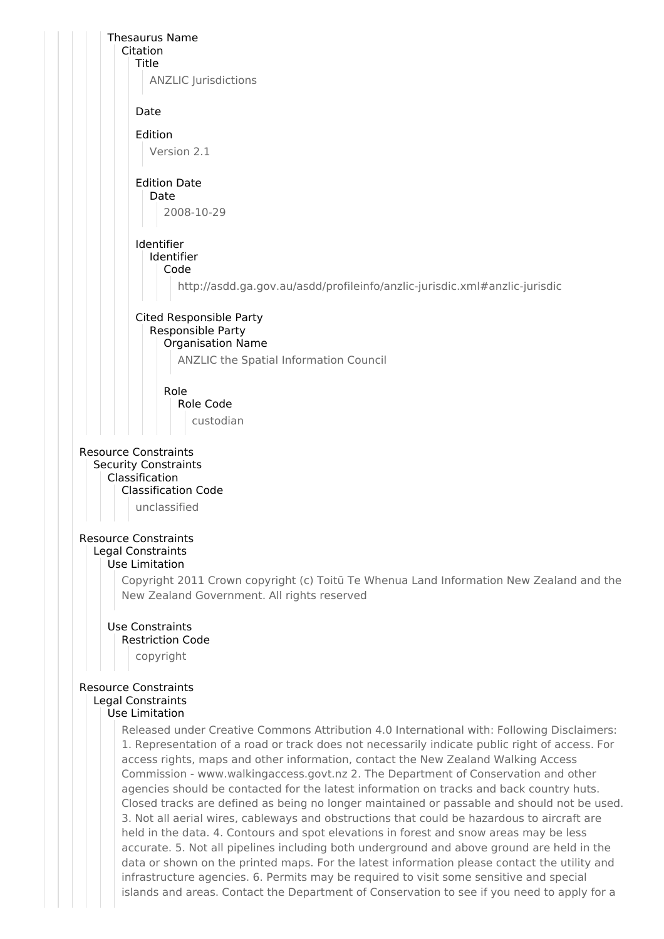

data or shown on the printed maps. For the latest information please contact the utility and infrastructure agencies. 6. Permits may be required to visit some sensitive and special islands and areas. Contact the Department of Conservation to see if you need to apply for a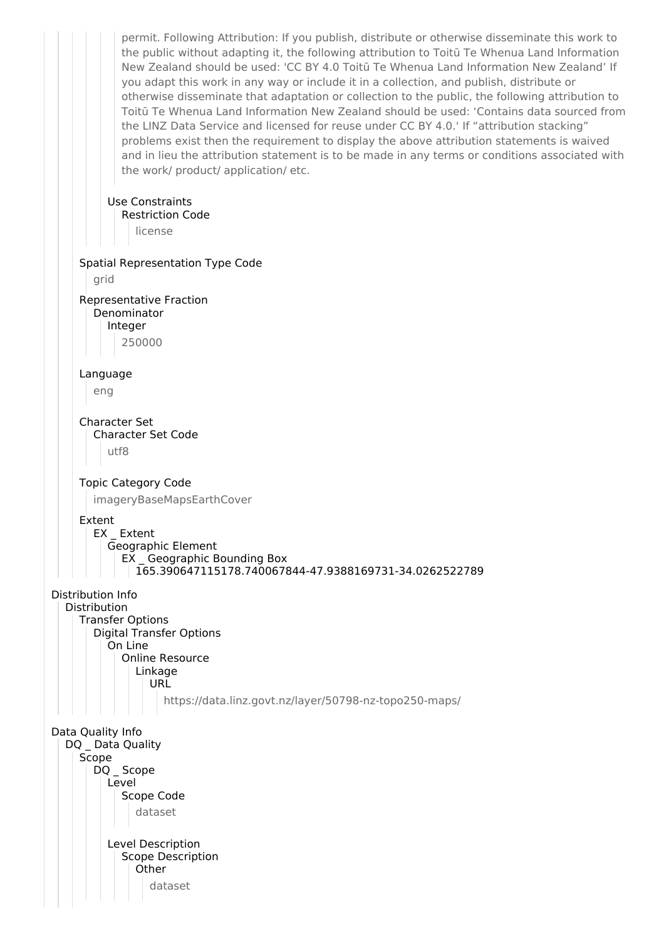permit. Following Attribution: If you publish, distribute or otherwise disseminate this work to the public without adapting it, the following attribution to Toitū Te Whenua Land Information New Zealand should be used: 'CC BY 4.0 Toitū Te Whenua Land Information New Zealand' If you adapt this work in any way or include it in a collection, and publish, distribute or otherwise disseminate that adaptation or collection to the public, the following attribution to Toitū Te Whenua Land Information New Zealand should be used: 'Contains data sourced from the LINZ Data Service and licensed for reuse under CC BY 4.0.' If "attribution stacking" problems exist then the requirement to display the above attribution statements is waived and in lieu the attribution statement is to be made in any terms or conditions associated with the work/ product/ application/ etc. Use Constraints Restriction Code license Spatial Representation Type Code grid Representative Fraction Denominator Integer 250000 Language eng Character Set Character Set Code utf8 Topic Category Code imageryBaseMapsEarthCover Extent EX Extent Geographic Element EX \_ Geographic Bounding Box 165.390647115178.740067844-47.9388169731-34.0262522789 Distribution Info Distribution Transfer Options Digital Transfer Options On Line Online Resource Linkage **URL** https://data.linz.govt.nz/layer/50798-nz-topo250-maps/ Data Quality Info DQ Data Quality Scope DQ \_ Scope Level Scope Code dataset Level Description Scope Description **Other** dataset